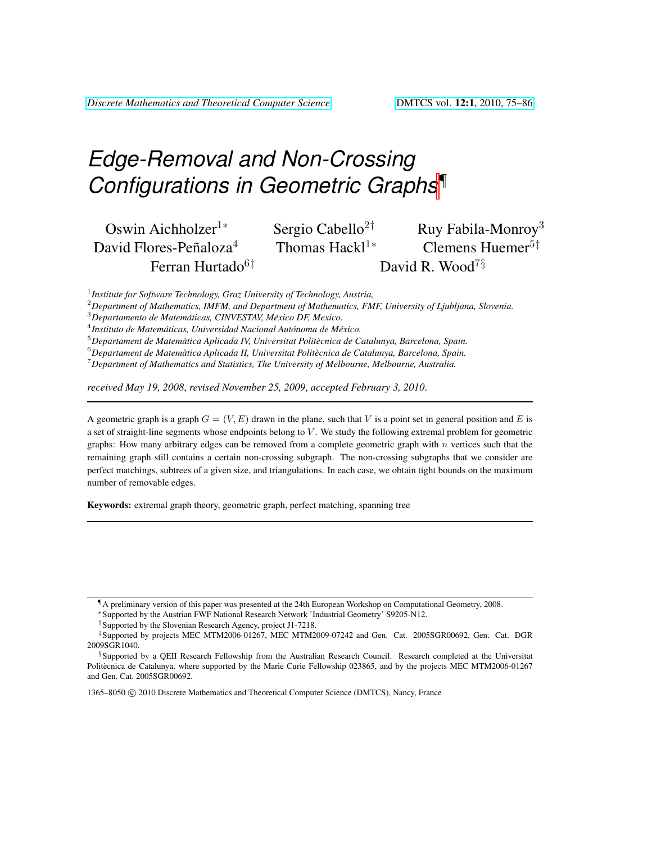# *Edge-Removal and Non-Crossing Configurations in Geometric Graph[s](#page-0-0)*¶

| Oswin Aichholzer <sup>1*</sup>     |
|------------------------------------|
| David Flores-Peñaloza <sup>4</sup> |
| Ferran Hurtado <sup>61</sup>       |

Sergio Cabello<sup>2†</sup> Ruy Fabila-Monroy<sup>3</sup>

Thomas Hackl<sup>1∗</sup> Clemens Huemer<sup>5‡</sup> David R. Wood<sup>7§</sup>

1 *Institute for Software Technology, Graz University of Technology, Austria,*

<sup>2</sup>*Department of Mathematics, IMFM, and Department of Mathematics, FMF, University of Ljubljana, Slovenia.*

<sup>4</sup> Instituto de Matemáticas, Universidad Nacional Autónoma de México.

<sup>5</sup>*Departament de Matematica Aplicada IV, Universitat Polit ` ecnica de Catalunya, Barcelona, Spain. `*

<sup>6</sup>*Departament de Matematica Aplicada II, Universitat Polit ` ecnica de Catalunya, Barcelona, Spain. `*

<sup>7</sup>*Department of Mathematics and Statistics, The University of Melbourne, Melbourne, Australia.*

*received May 19, 2008*, *revised November 25, 2009*, *accepted February 3, 2010*.

A geometric graph is a graph  $G = (V, E)$  drawn in the plane, such that V is a point set in general position and E is a set of straight-line segments whose endpoints belong to  $V$ . We study the following extremal problem for geometric graphs: How many arbitrary edges can be removed from a complete geometric graph with  $n$  vertices such that the remaining graph still contains a certain non-crossing subgraph. The non-crossing subgraphs that we consider are perfect matchings, subtrees of a given size, and triangulations. In each case, we obtain tight bounds on the maximum number of removable edges.

Keywords: extremal graph theory, geometric graph, perfect matching, spanning tree

1365–8050 C 2010 Discrete Mathematics and Theoretical Computer Science (DMTCS), Nancy, France

<sup>3</sup>*Departamento de Matematicas, CINVESTAV, M ´ exico DF, Mexico. ´*

<span id="page-0-0"></span><sup>¶</sup>A preliminary version of this paper was presented at the 24th European Workshop on Computational Geometry, 2008.

<sup>∗</sup>Supported by the Austrian FWF National Research Network 'Industrial Geometry' S9205-N12.

<sup>†</sup>Supported by the Slovenian Research Agency, project J1-7218.

<sup>‡</sup>Supported by projects MEC MTM2006-01267, MEC MTM2009-07242 and Gen. Cat. 2005SGR00692, Gen. Cat. DGR 2009SGR1040.

<sup>§</sup>Supported by a QEII Research Fellowship from the Australian Research Council. Research completed at the Universitat Politècnica de Catalunya, where supported by the Marie Curie Fellowship 023865, and by the projects MEC MTM2006-01267 and Gen. Cat. 2005SGR00692.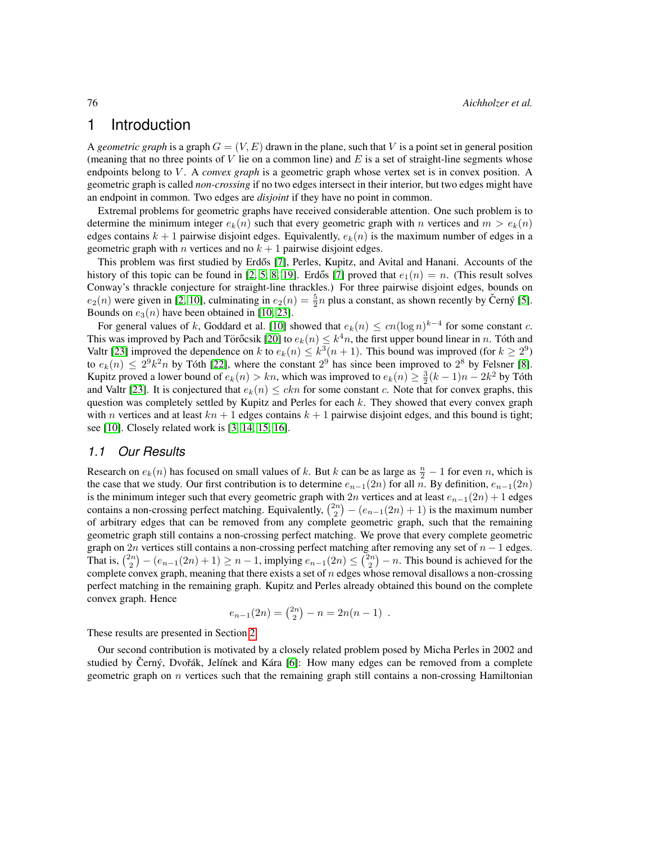# 1 Introduction

A *geometric graph* is a graph  $G = (V, E)$  drawn in the plane, such that V is a point set in general position (meaning that no three points of  $V$  lie on a common line) and  $E$  is a set of straight-line segments whose endpoints belong to V. A *convex graph* is a geometric graph whose vertex set is in convex position. A geometric graph is called *non-crossing* if no two edges intersect in their interior, but two edges might have an endpoint in common. Two edges are *disjoint* if they have no point in common.

Extremal problems for geometric graphs have received considerable attention. One such problem is to determine the minimum integer  $e_k(n)$  such that every geometric graph with n vertices and  $m > e_k(n)$ edges contains  $k + 1$  pairwise disjoint edges. Equivalently,  $e_k(n)$  is the maximum number of edges in a geometric graph with *n* vertices and no  $k + 1$  pairwise disjoint edges.

This problem was first studied by Erdős [\[7\]](#page-11-0), Perles, Kupitz, and Avital and Hanani. Accounts of the history of this topic can be found in [\[2,](#page-10-0) [5,](#page-10-1) [8,](#page-11-1) [19\]](#page-11-2). Erdős [\[7\]](#page-11-0) proved that  $e_1(n) = n$ . (This result solves Conway's thrackle conjecture for straight-line thrackles.) For three pairwise disjoint edges, bounds on  $e_2(n)$  were given in [\[2,](#page-10-0) [10\]](#page-11-3), culminating in  $e_2(n) = \frac{5}{2}n$  plus a constant, as shown recently by Cerný [\[5\]](#page-10-1). Bounds on  $e_3(n)$  have been obtained in [\[10,](#page-11-3) [23\]](#page-11-4).

For general values of k, Goddard et al. [\[10\]](#page-11-3) showed that  $e_k(n) \le cn(\log n)^{k-4}$  for some constant c. This was improved by Pach and Törőcsik [\[20\]](#page-11-5) to  $e_k(n) \leq k^4 n$ , the first upper bound linear in n. Tóth and Valtr [\[23\]](#page-11-4) improved the dependence on k to  $e_k(n) \leq k^3(n+1)$ . This bound was improved (for  $k \geq 2^9$ ) to  $e_k(n) \leq 2^9 k^2 n$  by Tóth [\[22\]](#page-11-6), where the constant  $2^9$  has since been improved to  $2^8$  by Felsner [\[8\]](#page-11-1). Kupitz proved a lower bound of  $e_k(n) > kn$ , which was improved to  $e_k(n) \geq \frac{3}{2}(k-1)n - 2k^2$  by Tóth and Valtr [\[23\]](#page-11-4). It is conjectured that  $e_k(n) \leq ckn$  for some constant c. Note that for convex graphs, this question was completely settled by Kupitz and Perles for each  $k$ . They showed that every convex graph with n vertices and at least  $kn + 1$  edges contains  $k + 1$  pairwise disjoint edges, and this bound is tight; see [\[10\]](#page-11-3). Closely related work is [\[3,](#page-10-2) [14,](#page-11-7) [15,](#page-11-8) [16\]](#page-11-9).

#### *1.1 Our Results*

Research on  $e_k(n)$  has focused on small values of k. But k can be as large as  $\frac{n}{2} - 1$  for even n, which is the case that we study. Our first contribution is to determine  $e_{n-1}(2n)$  for all n. By definition,  $e_{n-1}(2n)$ is the minimum integer such that every geometric graph with 2n vertices and at least  $e_{n-1}(2n) + 1$  edges contains a non-crossing perfect matching. Equivalently,  $\binom{2n}{2} - (e_{n-1}(2n) + 1)$  is the maximum number of arbitrary edges that can be removed from any complete geometric graph, such that the remaining geometric graph still contains a non-crossing perfect matching. We prove that every complete geometric graph on 2n vertices still contains a non-crossing perfect matching after removing any set of  $n - 1$  edges. That is,  $\binom{2n}{2} - (e_{n-1}(2n) + 1) \ge n - 1$ , implying  $e_{n-1}(2n) \le \binom{2n}{2} - n$ . This bound is achieved for the complete convex graph, meaning that there exists a set of  $n$  edges whose removal disallows a non-crossing perfect matching in the remaining graph. Kupitz and Perles already obtained this bound on the complete convex graph. Hence

$$
e_{n-1}(2n) = \binom{2n}{2} - n = 2n(n-1) .
$$

These results are presented in Section [2.](#page-2-0)

Our second contribution is motivated by a closely related problem posed by Micha Perles in 2002 and studied by Cerný, Dvořák, Jelínek and Kára [\[6\]](#page-11-10): How many edges can be removed from a complete geometric graph on  $n$  vertices such that the remaining graph still contains a non-crossing Hamiltonian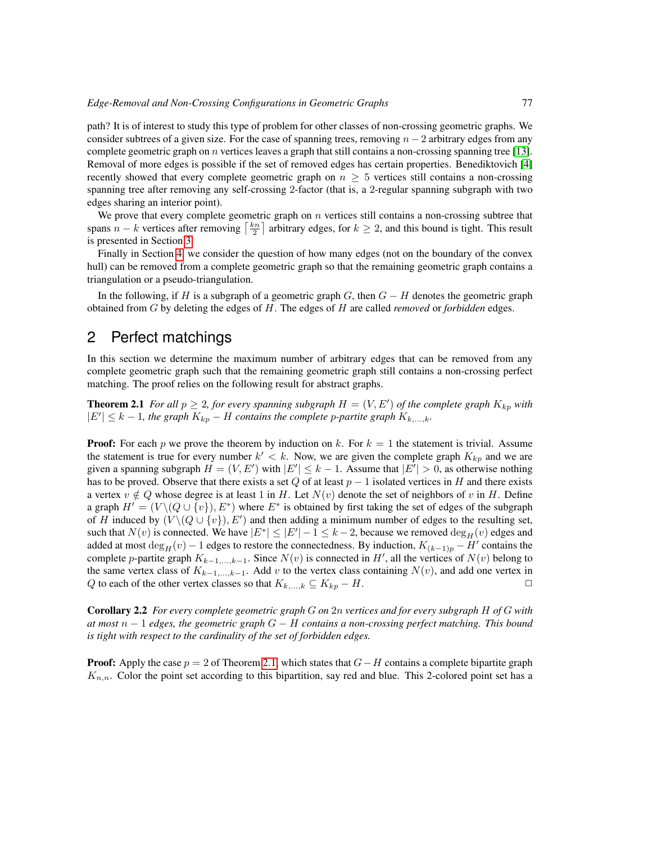path? It is of interest to study this type of problem for other classes of non-crossing geometric graphs. We consider subtrees of a given size. For the case of spanning trees, removing  $n - 2$  arbitrary edges from any complete geometric graph on  $n$  vertices leaves a graph that still contains a non-crossing spanning tree [\[13\]](#page-11-11). Removal of more edges is possible if the set of removed edges has certain properties. Benediktovich [\[4\]](#page-10-3) recently showed that every complete geometric graph on  $n \geq 5$  vertices still contains a non-crossing spanning tree after removing any self-crossing 2-factor (that is, a 2-regular spanning subgraph with two edges sharing an interior point).

We prove that every complete geometric graph on  $n$  vertices still contains a non-crossing subtree that spans  $n - k$  vertices after removing  $\left\lceil \frac{kn}{2} \right\rceil$  arbitrary edges, for  $k \geq 2$ , and this bound is tight. This result is presented in Section [3.](#page-4-0)

Finally in Section [4,](#page-9-0) we consider the question of how many edges (not on the boundary of the convex hull) can be removed from a complete geometric graph so that the remaining geometric graph contains a triangulation or a pseudo-triangulation.

In the following, if H is a subgraph of a geometric graph  $G$ , then  $G - H$  denotes the geometric graph obtained from G by deleting the edges of H. The edges of H are called *removed* or *forbidden* edges.

## <span id="page-2-0"></span>2 Perfect matchings

In this section we determine the maximum number of arbitrary edges that can be removed from any complete geometric graph such that the remaining geometric graph still contains a non-crossing perfect matching. The proof relies on the following result for abstract graphs.

<span id="page-2-1"></span>**Theorem 2.1** For all  $p \geq 2$ , for every spanning subgraph  $H = (V, E')$  of the complete graph  $K_{kp}$  with  $|E'|\leq k-1$ , the graph  $K_{kp}$  − H contains the complete p-partite graph  $K_{k,\dots,k}$ .

**Proof:** For each p we prove the theorem by induction on k. For  $k = 1$  the statement is trivial. Assume the statement is true for every number  $k' < k$ . Now, we are given the complete graph  $K_{kp}$  and we are given a spanning subgraph  $H = (V, E')$  with  $|E'| \leq k - 1$ . Assume that  $|E'| > 0$ , as otherwise nothing has to be proved. Observe that there exists a set Q of at least  $p - 1$  isolated vertices in H and there exists a vertex  $v \notin Q$  whose degree is at least 1 in H. Let  $N(v)$  denote the set of neighbors of v in H. Define a graph  $H' = (V \setminus (Q \cup \{v\}), E^*)$  where  $E^*$  is obtained by first taking the set of edges of the subgraph of H induced by  $(V \setminus (Q \cup \{v\}), E')$  and then adding a minimum number of edges to the resulting set, such that  $N(v)$  is connected. We have  $|E^*| \leq |E'| - 1 \leq k - 2$ , because we removed  $\deg_H(v)$  edges and added at most  $\deg_H(v) - 1$  edges to restore the connectedness. By induction,  $K_{(k-1)p} - H'$  contains the complete p-partite graph  $K_{k-1,\dots,k-1}$ . Since  $N(v)$  is connected in H', all the vertices of  $N(v)$  belong to the same vertex class of  $K_{k-1,\dots,k-1}$ . Add v to the vertex class containing  $N(v)$ , and add one vertex in O to each of the other vertex classes so that  $K_{k}$   $\downarrow$   $\subset$   $K_{kn} - H$ . Q to each of the other vertex classes so that  $K_{k,\dots,k} \subseteq K_{kp} - H$ .

<span id="page-2-2"></span>Corollary 2.2 *For every complete geometric graph* G *on* 2n *vertices and for every subgraph* H *of* G *with at most* n − 1 *edges, the geometric graph* G − H *contains a non-crossing perfect matching. This bound is tight with respect to the cardinality of the set of forbidden edges.*

**Proof:** Apply the case  $p = 2$  of Theorem [2.1,](#page-2-1) which states that  $G - H$  contains a complete bipartite graph  $K_{n,n}$ . Color the point set according to this bipartition, say red and blue. This 2-colored point set has a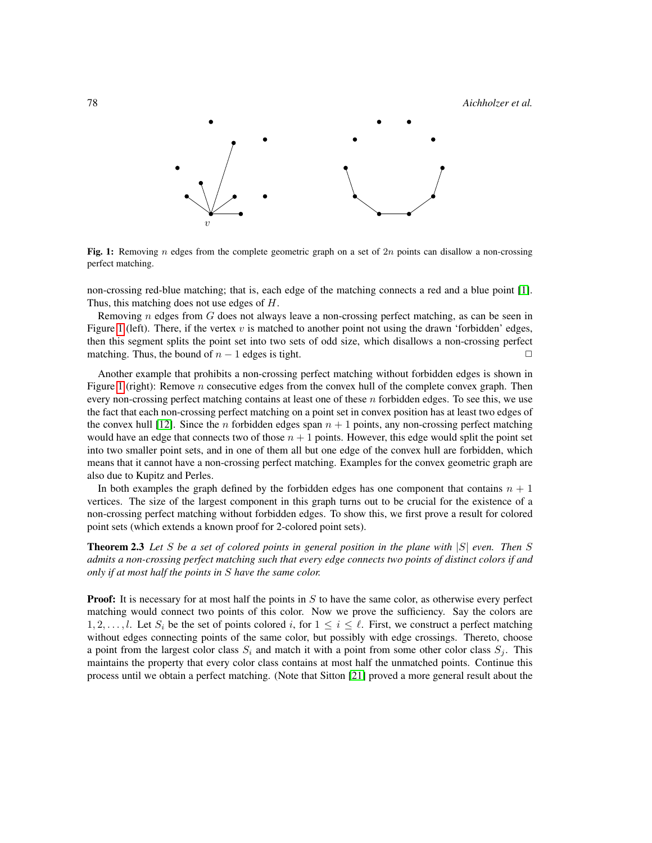78 *Aichholzer et al.*



<span id="page-3-0"></span>Fig. 1: Removing n edges from the complete geometric graph on a set of  $2n$  points can disallow a non-crossing perfect matching.

non-crossing red-blue matching; that is, each edge of the matching connects a red and a blue point [\[1\]](#page-10-4). Thus, this matching does not use edges of H.

Removing  $n$  edges from  $G$  does not always leave a non-crossing perfect matching, as can be seen in Figure [1](#page-3-0) (left). There, if the vertex  $v$  is matched to another point not using the drawn 'forbidden' edges, then this segment splits the point set into two sets of odd size, which disallows a non-crossing perfect matching. Thus, the bound of  $n - 1$  edges is tight.

Another example that prohibits a non-crossing perfect matching without forbidden edges is shown in Figure [1](#page-3-0) (right): Remove  $n$  consecutive edges from the convex hull of the complete convex graph. Then every non-crossing perfect matching contains at least one of these  $n$  forbidden edges. To see this, we use the fact that each non-crossing perfect matching on a point set in convex position has at least two edges of the convex hull [\[12\]](#page-11-12). Since the *n* forbidden edges span  $n + 1$  points, any non-crossing perfect matching would have an edge that connects two of those  $n + 1$  points. However, this edge would split the point set into two smaller point sets, and in one of them all but one edge of the convex hull are forbidden, which means that it cannot have a non-crossing perfect matching. Examples for the convex geometric graph are also due to Kupitz and Perles.

In both examples the graph defined by the forbidden edges has one component that contains  $n + 1$ vertices. The size of the largest component in this graph turns out to be crucial for the existence of a non-crossing perfect matching without forbidden edges. To show this, we first prove a result for colored point sets (which extends a known proof for 2-colored point sets).

<span id="page-3-1"></span>Theorem 2.3 *Let* S *be a set of colored points in general position in the plane with* |S| *even. Then* S *admits a non-crossing perfect matching such that every edge connects two points of distinct colors if and only if at most half the points in* S *have the same color.*

**Proof:** It is necessary for at most half the points in  $S$  to have the same color, as otherwise every perfect matching would connect two points of this color. Now we prove the sufficiency. Say the colors are  $1, 2, \ldots, l$ . Let  $S_i$  be the set of points colored i, for  $1 \leq i \leq l$ . First, we construct a perfect matching without edges connecting points of the same color, but possibly with edge crossings. Thereto, choose a point from the largest color class  $S_i$  and match it with a point from some other color class  $S_j$ . This maintains the property that every color class contains at most half the unmatched points. Continue this process until we obtain a perfect matching. (Note that Sitton [\[21\]](#page-11-13) proved a more general result about the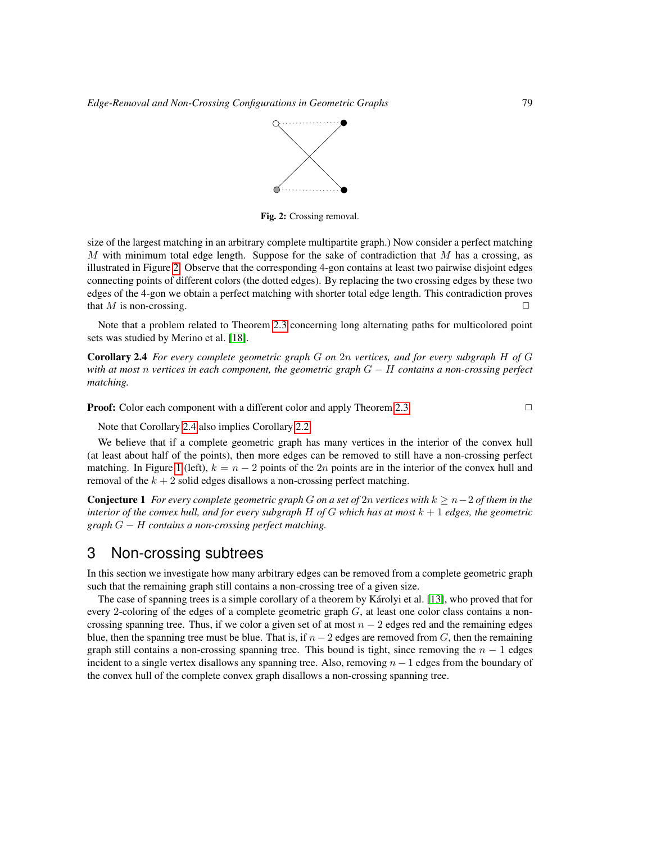

<span id="page-4-1"></span>Fig. 2: Crossing removal.

size of the largest matching in an arbitrary complete multipartite graph.) Now consider a perfect matching M with minimum total edge length. Suppose for the sake of contradiction that M has a crossing, as illustrated in Figure [2.](#page-4-1) Observe that the corresponding 4-gon contains at least two pairwise disjoint edges connecting points of different colors (the dotted edges). By replacing the two crossing edges by these two edges of the 4-gon we obtain a perfect matching with shorter total edge length. This contradiction proves that  $M$  is non-crossing.

Note that a problem related to Theorem [2.3](#page-3-1) concerning long alternating paths for multicolored point sets was studied by Merino et al. [\[18\]](#page-11-14).

<span id="page-4-2"></span>Corollary 2.4 *For every complete geometric graph* G *on* 2n *vertices, and for every subgraph* H *of* G *with at most* n *vertices in each component, the geometric graph* G − H *contains a non-crossing perfect matching.*

**Proof:** Color each component with a different color and apply Theorem [2.3.](#page-3-1) □

Note that Corollary [2.4](#page-4-2) also implies Corollary [2.2.](#page-2-2)

We believe that if a complete geometric graph has many vertices in the interior of the convex hull (at least about half of the points), then more edges can be removed to still have a non-crossing perfect matching. In Figure [1](#page-3-0) (left),  $k = n - 2$  points of the 2n points are in the interior of the convex hull and removal of the  $k + 2$  solid edges disallows a non-crossing perfect matching.

Conjecture 1 *For every complete geometric graph* G *on a set of* 2n *vertices with* k ≥ n−2 *of them in the interior of the convex hull, and for every subgraph* H *of* G *which has at most* k + 1 *edges, the geometric graph* G − H *contains a non-crossing perfect matching.*

## <span id="page-4-0"></span>3 Non-crossing subtrees

In this section we investigate how many arbitrary edges can be removed from a complete geometric graph such that the remaining graph still contains a non-crossing tree of a given size.

The case of spanning trees is a simple corollary of a theorem by Karolyi et al. [\[13\]](#page-11-11), who proved that for every 2-coloring of the edges of a complete geometric graph  $G$ , at least one color class contains a noncrossing spanning tree. Thus, if we color a given set of at most  $n - 2$  edges red and the remaining edges blue, then the spanning tree must be blue. That is, if  $n - 2$  edges are removed from G, then the remaining graph still contains a non-crossing spanning tree. This bound is tight, since removing the  $n - 1$  edges incident to a single vertex disallows any spanning tree. Also, removing  $n - 1$  edges from the boundary of the convex hull of the complete convex graph disallows a non-crossing spanning tree.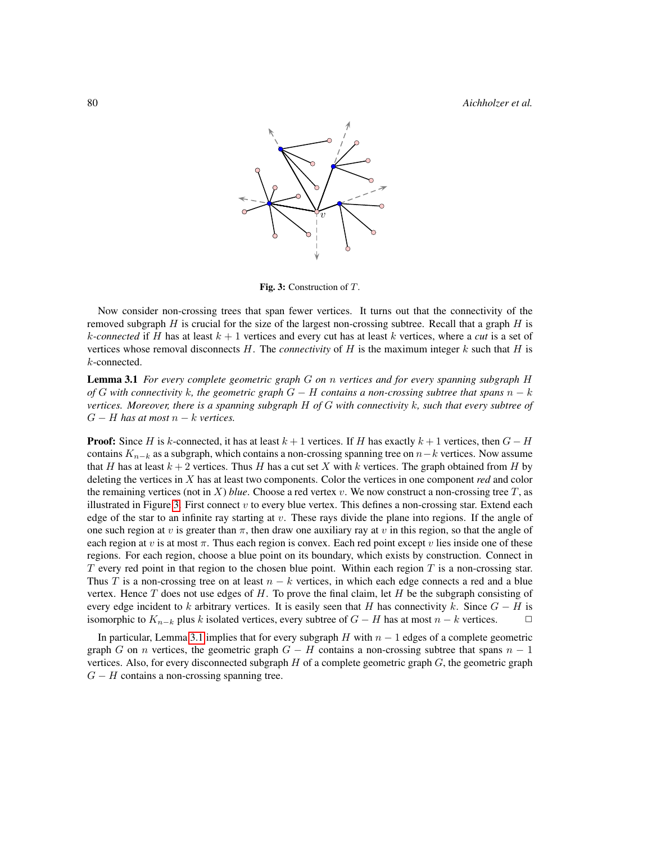80 *Aichholzer et al.*

<span id="page-5-0"></span>

Fig. 3: Construction of T.

Now consider non-crossing trees that span fewer vertices. It turns out that the connectivity of the removed subgraph  $H$  is crucial for the size of the largest non-crossing subtree. Recall that a graph  $H$  is k-connected if H has at least  $k + 1$  vertices and every cut has at least k vertices, where a *cut* is a set of vertices whose removal disconnects  $H$ . The *connectivity* of  $H$  is the maximum integer  $k$  such that  $H$  is k-connected.

<span id="page-5-1"></span>Lemma 3.1 *For every complete geometric graph* G *on* n *vertices and for every spanning subgraph* H *of* G *with connectivity* k*, the geometric graph* G − H *contains a non-crossing subtree that spans* n − k *vertices. Moreover, there is a spanning subgraph* H *of* G *with connectivity* k*, such that every subtree of*  $G - H$  has at most  $n - k$  vertices.

**Proof:** Since H is k-connected, it has at least  $k + 1$  vertices. If H has exactly  $k + 1$  vertices, then  $G - H$ contains  $K_{n-k}$  as a subgraph, which contains a non-crossing spanning tree on  $n-k$  vertices. Now assume that H has at least  $k + 2$  vertices. Thus H has a cut set X with k vertices. The graph obtained from H by deleting the vertices in X has at least two components. Color the vertices in one component *red* and color the remaining vertices (not in  $X$ ) *blue*. Choose a red vertex  $v$ . We now construct a non-crossing tree  $T$ , as illustrated in Figure [3.](#page-5-0) First connect  $v$  to every blue vertex. This defines a non-crossing star. Extend each edge of the star to an infinite ray starting at  $v$ . These rays divide the plane into regions. If the angle of one such region at v is greater than  $\pi$ , then draw one auxiliary ray at v in this region, so that the angle of each region at v is at most  $\pi$ . Thus each region is convex. Each red point except v lies inside one of these regions. For each region, choose a blue point on its boundary, which exists by construction. Connect in  $T$  every red point in that region to the chosen blue point. Within each region  $T$  is a non-crossing star. Thus T is a non-crossing tree on at least  $n - k$  vertices, in which each edge connects a red and a blue vertex. Hence  $T$  does not use edges of  $H$ . To prove the final claim, let  $H$  be the subgraph consisting of every edge incident to k arbitrary vertices. It is easily seen that H has connectivity k. Since  $G - H$  is isomorphic to  $K_{n-k}$  plus k isolated vertices, every subtree of  $G - H$  has at most  $n - k$  vertices.  $□$ 

In particular, Lemma [3.1](#page-5-1) implies that for every subgraph H with  $n - 1$  edges of a complete geometric graph G on n vertices, the geometric graph  $G - H$  contains a non-crossing subtree that spans  $n - 1$ vertices. Also, for every disconnected subgraph  $H$  of a complete geometric graph  $G$ , the geometric graph  $G - H$  contains a non-crossing spanning tree.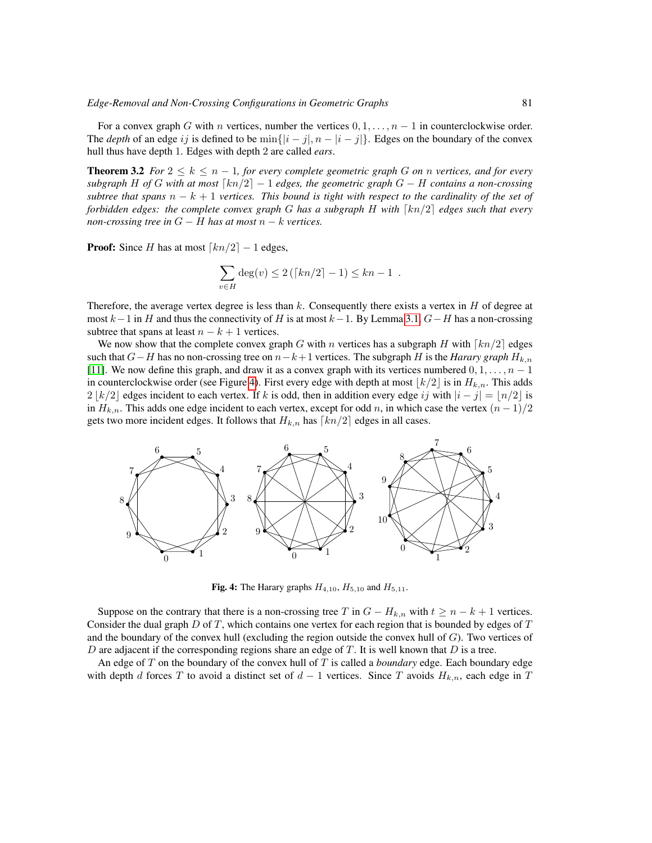For a convex graph G with n vertices, number the vertices  $0, 1, \ldots, n-1$  in counterclockwise order. The *depth* of an edge ij is defined to be  $\min\{|i - j|, n - |i - j|\}$ . Edges on the boundary of the convex hull thus have depth 1. Edges with depth 2 are called *ears*.

<span id="page-6-1"></span>**Theorem 3.2** *For*  $2 \leq k \leq n-1$ *, for every complete geometric graph* G *on n vertices, and for every subgraph* H of G with at most  $\lceil kn/2 \rceil - 1$  edges, the geometric graph G − H contains a non-crossing *subtree that spans*  $n - k + 1$  *vertices. This bound is tight with respect to the cardinality of the set of forbidden edges: the complete convex graph* G *has a subgraph* H with  $\lceil kn/2 \rceil$  edges such that every *non-crossing tree in*  $G - H$  *has at most*  $n - k$  *vertices.* 

**Proof:** Since H has at most  $\lceil kn/2 \rceil - 1$  edges,

$$
\sum_{v \in H} \deg(v) \le 2(|kn/2| - 1) \le kn - 1.
$$

Therefore, the average vertex degree is less than k. Consequently there exists a vertex in  $H$  of degree at most  $k-1$  in H and thus the connectivity of H is at most  $k-1$ . By Lemma [3.1,](#page-5-1)  $G-H$  has a non-crossing subtree that spans at least  $n - k + 1$  vertices.

We now show that the complete convex graph G with n vertices has a subgraph H with  $\lceil kn/2 \rceil$  edges such that  $G-H$  has no non-crossing tree on  $n-k+1$  vertices. The subgraph H is the *Harary graph*  $H_{k,n}$ [\[11\]](#page-11-15). We now define this graph, and draw it as a convex graph with its vertices numbered  $0, 1, \ldots, n - 1$ in counterclockwise order (see Figure [4\)](#page-6-0). First every edge with depth at most  $|k/2|$  is in  $H_{k,n}$ . This adds  $2 \lfloor k/2 \rfloor$  edges incident to each vertex. If k is odd, then in addition every edge ij with  $|i - j| = \lfloor n/2 \rfloor$  is in  $H_{k,n}$ . This adds one edge incident to each vertex, except for odd n, in which case the vertex  $(n-1)/2$ gets two more incident edges. It follows that  $H_{k,n}$  has  $\lceil kn/2 \rceil$  edges in all cases.



<span id="page-6-0"></span>**Fig. 4:** The Harary graphs  $H_{4,10}$ ,  $H_{5,10}$  and  $H_{5,11}$ .

Suppose on the contrary that there is a non-crossing tree T in  $G - H_{k,n}$  with  $t \ge n - k + 1$  vertices. Consider the dual graph  $D$  of  $T$ , which contains one vertex for each region that is bounded by edges of  $T$ and the boundary of the convex hull (excluding the region outside the convex hull of  $G$ ). Two vertices of D are adjacent if the corresponding regions share an edge of  $T$ . It is well known that  $D$  is a tree.

An edge of T on the boundary of the convex hull of T is called a *boundary* edge. Each boundary edge with depth d forces T to avoid a distinct set of  $d-1$  vertices. Since T avoids  $H_{k,n}$ , each edge in T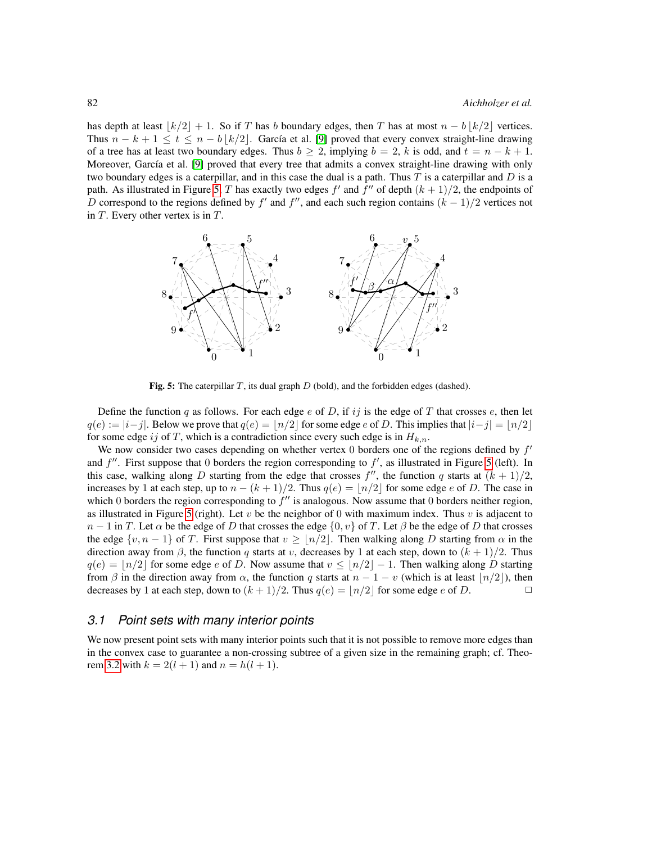has depth at least  $\lfloor k/2 \rfloor + 1$ . So if T has b boundary edges, then T has at most  $n - b \lfloor k/2 \rfloor$  vertices. Thus  $n - k + 1 \le t \le n - b \lfloor k/2 \rfloor$ . García et al. [\[9\]](#page-11-16) proved that every convex straight-line drawing of a tree has at least two boundary edges. Thus  $b \ge 2$ , implying  $b = 2$ , k is odd, and  $t = n - k + 1$ . Moreover, García et al. [\[9\]](#page-11-16) proved that every tree that admits a convex straight-line drawing with only two boundary edges is a caterpillar, and in this case the dual is a path. Thus T is a caterpillar and  $D$  is a path. As illustrated in Figure [5,](#page-7-0) T has exactly two edges f' and f'' of depth  $(k + 1)/2$ , the endpoints of D correspond to the regions defined by f' and f'', and each such region contains  $(k-1)/2$  vertices not in  $T$ . Every other vertex is in  $T$ .



<span id="page-7-0"></span>Fig. 5: The caterpillar  $T$ , its dual graph  $D$  (bold), and the forbidden edges (dashed).

Define the function q as follows. For each edge  $e$  of D, if ij is the edge of T that crosses  $e$ , then let  $q(e) := |i-j|$ . Below we prove that  $q(e) = |n/2|$  for some edge e of D. This implies that  $|i-j| = |n/2|$ for some edge ij of T, which is a contradiction since every such edge is in  $H_{k,n}$ .

We now consider two cases depending on whether vertex 0 borders one of the regions defined by  $f'$ and  $f''$ . First suppose that 0 borders the region corresponding to  $f'$ , as illustrated in Figure [5](#page-7-0) (left). In this case, walking along D starting from the edge that crosses  $f''$ , the function q starts at  $(k + 1)/2$ , increases by 1 at each step, up to  $n - (k + 1)/2$ . Thus  $q(e) = |n/2|$  for some edge e of D. The case in which 0 borders the region corresponding to  $f''$  is analogous. Now assume that 0 borders neither region, as illustrated in Figure [5](#page-7-0) (right). Let v be the neighbor of 0 with maximum index. Thus v is adjacent to  $n-1$  in T. Let  $\alpha$  be the edge of D that crosses the edge  $\{0, v\}$  of T. Let  $\beta$  be the edge of D that crosses the edge  $\{v, n-1\}$  of T. First suppose that  $v \geq \lfloor n/2 \rfloor$ . Then walking along D starting from  $\alpha$  in the direction away from  $\beta$ , the function q starts at v, decreases by 1 at each step, down to  $(k + 1)/2$ . Thus  $q(e) = |n/2|$  for some edge e of D. Now assume that  $v \leq |n/2|-1$ . Then walking along D starting from  $\beta$  in the direction away from  $\alpha$ , the function q starts at  $n - 1 - v$  (which is at least  $\lfloor n/2 \rfloor$ ), then decreases by 1 at each step, down to  $(k + 1)/2$ . Thus  $q(e) = |n/2|$  for some edge e of D.

#### *3.1 Point sets with many interior points*

<span id="page-7-1"></span>We now present point sets with many interior points such that it is not possible to remove more edges than in the convex case to guarantee a non-crossing subtree of a given size in the remaining graph; cf. Theo-rem [3.2](#page-6-1) with  $k = 2(l + 1)$  and  $n = h(l + 1)$ .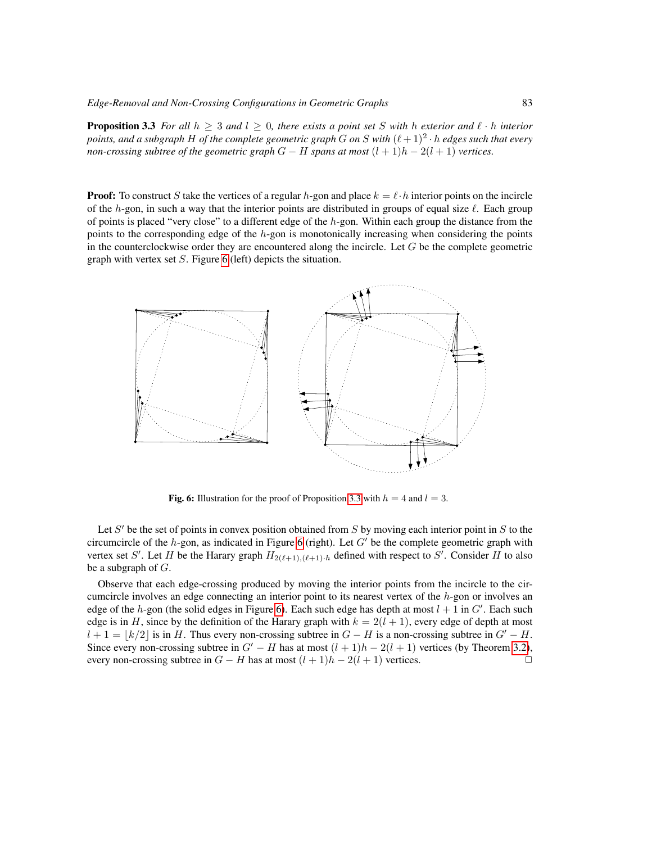**Proposition 3.3** For all  $h > 3$  and  $l > 0$ , there exists a point set S with h exterior and  $\ell \cdot h$  interior points, and a subgraph H of the complete geometric graph  $G$  on  $S$  with  $(\ell + 1)^2 \cdot h$  edges such that every *non-crossing subtree of the geometric graph*  $G - H$  *spans at most*  $(l + 1)h - 2(l + 1)$  *vertices.* 

**Proof:** To construct S take the vertices of a regular h-gon and place  $k = \ell \cdot h$  interior points on the incircle of the h-gon, in such a way that the interior points are distributed in groups of equal size  $\ell$ . Each group of points is placed "very close" to a different edge of the  $h$ -gon. Within each group the distance from the points to the corresponding edge of the  $h$ -gon is monotonically increasing when considering the points in the counterclockwise order they are encountered along the incircle. Let  $G$  be the complete geometric graph with vertex set  $S$ . Figure [6](#page-8-0) (left) depicts the situation.



<span id="page-8-0"></span>Fig. 6: Illustration for the proof of Proposition [3.3](#page-7-1) with  $h = 4$  and  $l = 3$ .

Let S' be the set of points in convex position obtained from S by moving each interior point in S to the circumcircle of the  $h$ -gon, as indicated in Figure [6](#page-8-0) (right). Let  $G'$  be the complete geometric graph with vertex set S'. Let H be the Harary graph  $H_{2(\ell+1),(\ell+1)\cdot h}$  defined with respect to S'. Consider H to also be a subgraph of  $G$ .

Observe that each edge-crossing produced by moving the interior points from the incircle to the circumcircle involves an edge connecting an interior point to its nearest vertex of the h-gon or involves an edge of the h-gon (the solid edges in Figure [6\)](#page-8-0). Each such edge has depth at most  $l + 1$  in  $G'$ . Each such edge is in H, since by the definition of the Harary graph with  $k = 2(l + 1)$ , every edge of depth at most  $l + 1 = |k/2|$  is in H. Thus every non-crossing subtree in  $G - H$  is a non-crossing subtree in  $G' - H$ . Since every non-crossing subtree in  $G'-H$  has at most  $(l + 1)h - 2(l + 1)$  vertices (by Theorem [3.2\)](#page-6-1), every non-crossing subtree in  $G - H$  has at most  $(l + 1)h - 2(l + 1)$  vertices.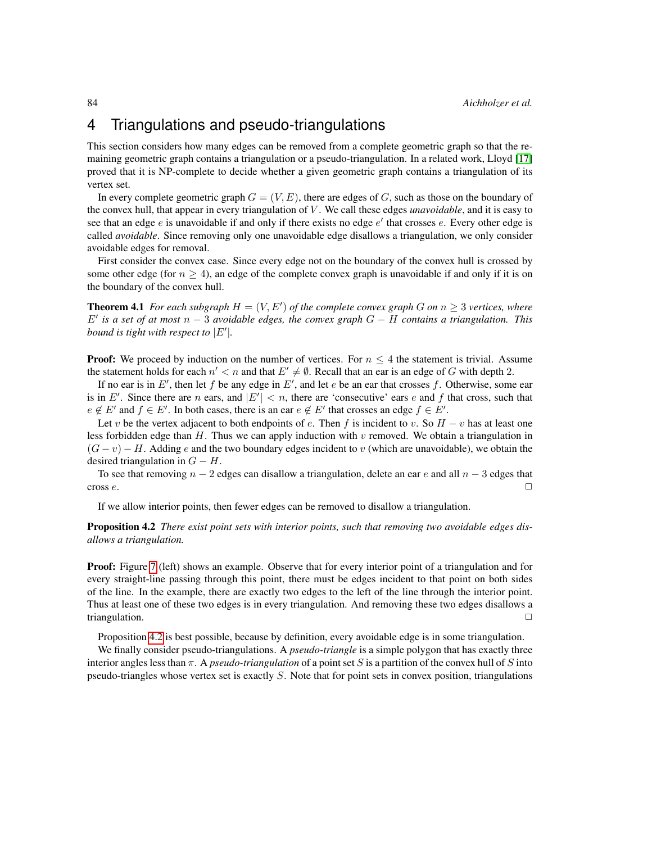# <span id="page-9-0"></span>4 Triangulations and pseudo-triangulations

This section considers how many edges can be removed from a complete geometric graph so that the remaining geometric graph contains a triangulation or a pseudo-triangulation. In a related work, Lloyd [\[17\]](#page-11-17) proved that it is NP-complete to decide whether a given geometric graph contains a triangulation of its vertex set.

In every complete geometric graph  $G = (V, E)$ , there are edges of G, such as those on the boundary of the convex hull, that appear in every triangulation of V . We call these edges *unavoidable*, and it is easy to see that an edge  $e$  is unavoidable if and only if there exists no edge  $e'$  that crosses  $e$ . Every other edge is called *avoidable*. Since removing only one unavoidable edge disallows a triangulation, we only consider avoidable edges for removal.

First consider the convex case. Since every edge not on the boundary of the convex hull is crossed by some other edge (for  $n \geq 4$ ), an edge of the complete convex graph is unavoidable if and only if it is on the boundary of the convex hull.

**Theorem 4.1** For each subgraph  $H = (V, E')$  of the complete convex graph G on  $n \geq 3$  vertices, where E<sup>0</sup> *is a set of at most* n − 3 *avoidable edges, the convex graph* G − H *contains a triangulation. This bound is tight with respect to*  $|E'|$ .

**Proof:** We proceed by induction on the number of vertices. For  $n \leq 4$  the statement is trivial. Assume the statement holds for each  $n' < n$  and that  $E' \neq \emptyset$ . Recall that an ear is an edge of G with depth 2.

If no ear is in E', then let f be any edge in E', and let e be an ear that crosses f. Otherwise, some ear is in E'. Since there are n ears, and  $|E'| < n$ , there are 'consecutive' ears e and f that cross, such that  $e \notin E'$  and  $f \in E'$ . In both cases, there is an ear  $e \notin E'$  that crosses an edge  $f \in E'$ .

Let v be the vertex adjacent to both endpoints of e. Then f is incident to v. So  $H - v$  has at least one less forbidden edge than H. Thus we can apply induction with v removed. We obtain a triangulation in  $(G - v) - H$ . Adding e and the two boundary edges incident to v (which are unavoidable), we obtain the desired triangulation in  $G - H$ .

To see that removing  $n - 2$  edges can disallow a triangulation, delete an ear e and all  $n - 3$  edges that cross  $e$ .

If we allow interior points, then fewer edges can be removed to disallow a triangulation.

<span id="page-9-1"></span>Proposition 4.2 *There exist point sets with interior points, such that removing two avoidable edges disallows a triangulation.*

**Proof:** Figure [7](#page-10-5) (left) shows an example. Observe that for every interior point of a triangulation and for every straight-line passing through this point, there must be edges incident to that point on both sides of the line. In the example, there are exactly two edges to the left of the line through the interior point. Thus at least one of these two edges is in every triangulation. And removing these two edges disallows a triangulation.  $\square$ 

Proposition [4.2](#page-9-1) is best possible, because by definition, every avoidable edge is in some triangulation.

We finally consider pseudo-triangulations. A *pseudo-triangle* is a simple polygon that has exactly three interior angles less than π. A *pseudo-triangulation* of a point set S is a partition of the convex hull of S into pseudo-triangles whose vertex set is exactly S. Note that for point sets in convex position, triangulations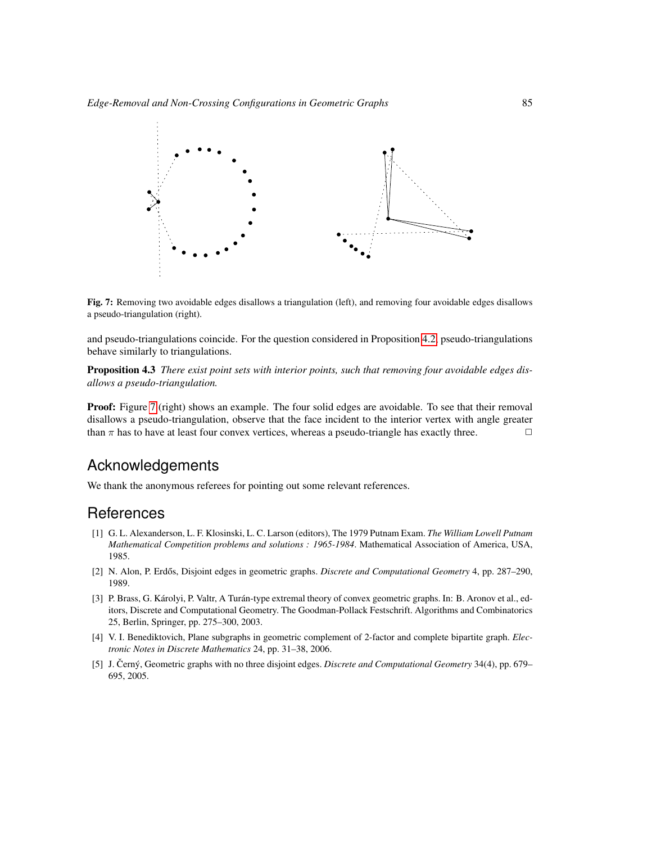

<span id="page-10-5"></span>Fig. 7: Removing two avoidable edges disallows a triangulation (left), and removing four avoidable edges disallows a pseudo-triangulation (right).

and pseudo-triangulations coincide. For the question considered in Proposition [4.2,](#page-9-1) pseudo-triangulations behave similarly to triangulations.

Proposition 4.3 *There exist point sets with interior points, such that removing four avoidable edges disallows a pseudo-triangulation.*

**Proof:** Figure [7](#page-10-5) (right) shows an example. The four solid edges are avoidable. To see that their removal disallows a pseudo-triangulation, observe that the face incident to the interior vertex with angle greater than  $\pi$  has to have at least four convex vertices, whereas a pseudo-triangle has exactly three.  $\Box$ 

## Acknowledgements

We thank the anonymous referees for pointing out some relevant references.

#### References

- <span id="page-10-4"></span>[1] G. L. Alexanderson, L. F. Klosinski, L. C. Larson (editors), The 1979 Putnam Exam. *The William Lowell Putnam Mathematical Competition problems and solutions : 1965-1984*. Mathematical Association of America, USA, 1985.
- <span id="page-10-0"></span>[2] N. Alon, P. Erdős, Disjoint edges in geometric graphs. *Discrete and Computational Geometry* 4, pp. 287–290, 1989.
- <span id="page-10-2"></span>[3] P. Brass, G. Károlyi, P. Valtr, A Turán-type extremal theory of convex geometric graphs. In: B. Aronov et al., editors, Discrete and Computational Geometry. The Goodman-Pollack Festschrift. Algorithms and Combinatorics 25, Berlin, Springer, pp. 275–300, 2003.
- <span id="page-10-3"></span>[4] V. I. Benediktovich, Plane subgraphs in geometric complement of 2-factor and complete bipartite graph. *Electronic Notes in Discrete Mathematics* 24, pp. 31–38, 2006.
- <span id="page-10-1"></span>[5] J. Cerný, Geometric graphs with no three disjoint edges. *Discrete and Computational Geometry* 34(4), pp. 679– 695, 2005.